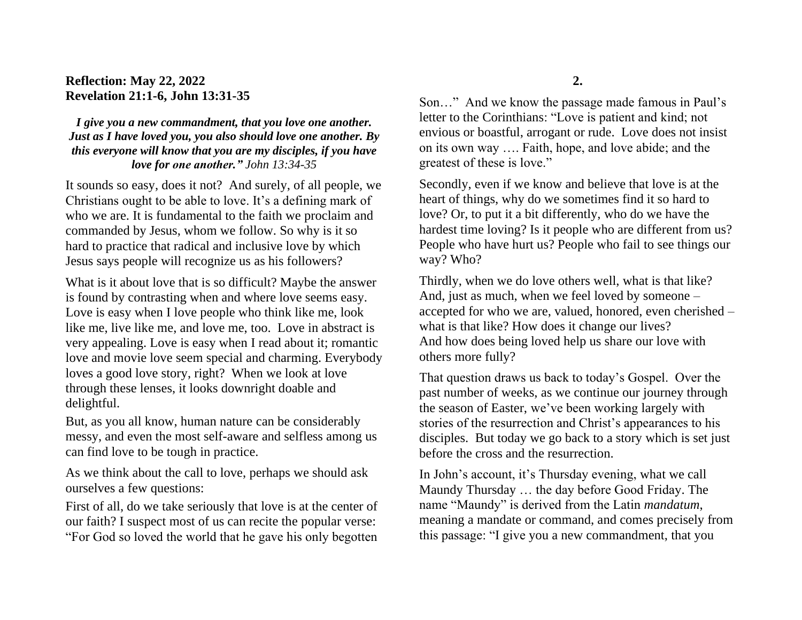## **Reflection: May 22, 2022 Revelation 21:1-6, John 13:31-35**

*I give you a new commandment, that you love one another. Just as I have loved you, you also should love one another. By this everyone will know that you are my disciples, if you have love for one another." John 13:34-35*

It sounds so easy, does it not? And surely, of all people, we Christians ought to be able to love. It's a defining mark of who we are. It is fundamental to the faith we proclaim and commanded by Jesus, whom we follow. So why is it so hard to practice that radical and inclusive love by which Jesus says people will recognize us as his followers?

What is it about love that is so difficult? Maybe the answer is found by contrasting when and where love seems easy. Love is easy when I love people who think like me, look like me, live like me, and love me, too. Love in abstract is very appealing. Love is easy when I read about it; romantic love and movie love seem special and charming. Everybody loves a good love story, right? When we look at love through these lenses, it looks downright doable and delightful.

But, as you all know, human nature can be considerably messy, and even the most self-aware and selfless among us can find love to be tough in practice.

As we think about the call to love, perhaps we should ask ourselves a few questions:

First of all, do we take seriously that love is at the center of our faith? I suspect most of us can recite the popular verse: "For God so loved the world that he gave his only begotten

**2.**

Son…" And we know the passage made famous in Paul's letter to the Corinthians: "Love is patient and kind; not envious or boastful, arrogant or rude. Love does not insist on its own way …. Faith, hope, and love abide; and the greatest of these is love."

Secondly, even if we know and believe that love is at the heart of things, why do we sometimes find it so hard to love? Or, to put it a bit differently, who do we have the hardest time loving? Is it people who are different from us? People who have hurt us? People who fail to see things our way? Who?

Thirdly, when we do love others well, what is that like? And, just as much, when we feel loved by someone – accepted for who we are, valued, honored, even cherished – what is that like? How does it change our lives? And how does being loved help us share our love with others more fully?

That question draws us back to today's Gospel. Over the past number of weeks, as we continue our journey through the season of Easter, we've been working largely with stories of the resurrection and Christ's appearances to his disciples. But today we go back to a story which is set just before the cross and the resurrection.

In John's account, it's Thursday evening, what we call Maundy Thursday … the day before Good Friday. The name "Maundy" is derived from the Latin *mandatum*, meaning a mandate or command, and comes precisely from this passage: "I give you a new commandment, that you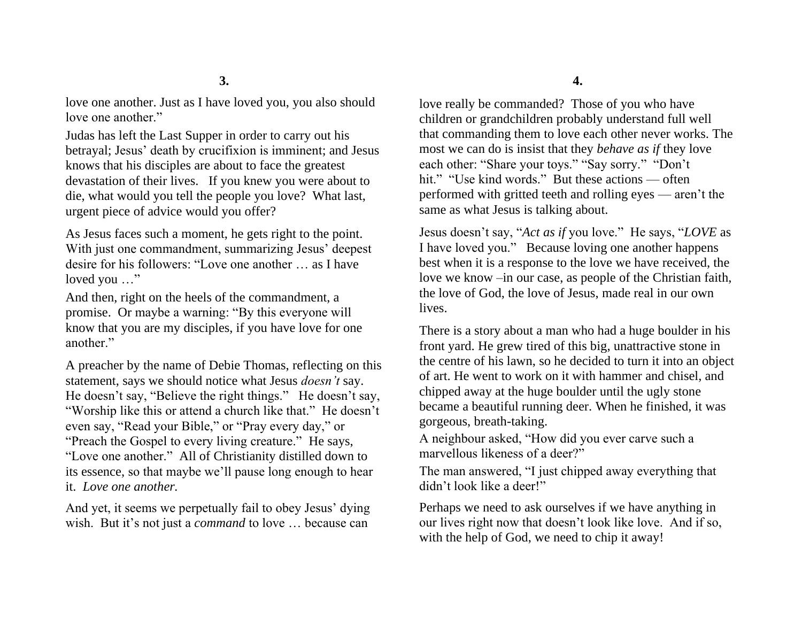love one another. Just as I have loved you, you also should love one another."

Judas has left the Last Supper in order to carry out his betrayal; Jesus' death by crucifixion is imminent; and Jesus knows that his disciples are about to face the greatest devastation of their lives. If you knew you were about to die, what would you tell the people you love? What last, urgent piece of advice would you offer?

As Jesus faces such a moment, he gets right to the point. With just one commandment, summarizing Jesus' deepest desire for his followers: "Love one another … as I have loved you ..."

And then, right on the heels of the commandment, a promise. Or maybe a warning: "By this everyone will know that you are my disciples, if you have love for one another."

A preacher by the name of Debie Thomas, reflecting on this statement, says we should notice what Jesus *doesn't* say. He doesn't say, "Believe the right things." He doesn't say, "Worship like this or attend a church like that." He doesn't even say, "Read your Bible," or "Pray every day," or "Preach the Gospel to every living creature." He says, "Love one another." All of Christianity distilled down to its essence, so that maybe we'll pause long enough to hear it. *Love one another.* 

And yet, it seems we perpetually fail to obey Jesus' dying wish. But it's not just a *command* to love … because can

love really be commanded? Those of you who have children or grandchildren probably understand full well that commanding them to love each other never works. The most we can do is insist that they *behave as if* they love each other: "Share your toys." "Say sorry." "Don't hit." "Use kind words." But these actions — often performed with gritted teeth and rolling eyes — aren't the same as what Jesus is talking about.

Jesus doesn't say, "*Act as if* you love." He says, "*LOVE* as I have loved you." Because loving one another happens best when it is a response to the love we have received, the love we know –in our case, as people of the Christian faith, the love of God, the love of Jesus, made real in our own lives.

There is a story about a man who had a huge boulder in his front yard. He grew tired of this big, unattractive stone in the centre of his lawn, so he decided to turn it into an object of art. He went to work on it with hammer and chisel, and chipped away at the huge boulder until the ugly stone became a beautiful running deer. When he finished, it was gorgeous, breath-taking.

A neighbour asked, "How did you ever carve such a marvellous likeness of a deer?"

The man answered, "I just chipped away everything that didn't look like a deer!"

Perhaps we need to ask ourselves if we have anything in our lives right now that doesn't look like love. And if so, with the help of God, we need to chip it away!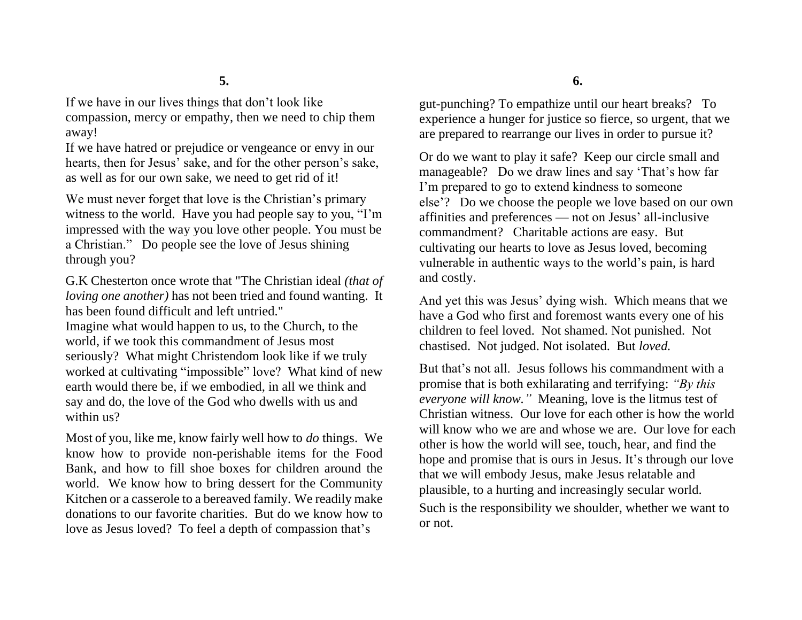If we have in our lives things that don't look like compassion, mercy or empathy, then we need to chip them away!

If we have hatred or prejudice or vengeance or envy in our hearts, then for Jesus' sake, and for the other person's sake, as well as for our own sake, we need to get rid of it!

We must never forget that love is the Christian's primary witness to the world. Have you had people say to you, "I'm impressed with the way you love other people. You must be a Christian." Do people see the love of Jesus shining through you?

G.K Chesterton once wrote that "The Christian ideal *(that of loving one another)* has not been tried and found wanting. It has been found difficult and left untried." Imagine what would happen to us, to the Church, to the world, if we took this commandment of Jesus most seriously? What might Christendom look like if we truly worked at cultivating "impossible" love? What kind of new earth would there be, if we embodied, in all we think and say and do, the love of the God who dwells with us and within us?

Most of you, like me, know fairly well how to *do* things. We know how to provide non-perishable items for the Food Bank, and how to fill shoe boxes for children around the world. We know how to bring dessert for the Community Kitchen or a casserole to a bereaved family. We readily make donations to our favorite charities. But do we know how to love as Jesus loved? To feel a depth of compassion that's

**6.**

gut-punching? To empathize until our heart breaks? To experience a hunger for justice so fierce, so urgent, that we are prepared to rearrange our lives in order to pursue it?

Or do we want to play it safe? Keep our circle small and manageable? Do we draw lines and say 'That's how far I'm prepared to go to extend kindness to someone else'? Do we choose the people we love based on our own affinities and preferences — not on Jesus' all-inclusive commandment? Charitable actions are easy. But cultivating our hearts to love as Jesus loved, becoming vulnerable in authentic ways to the world's pain, is hard and costly.

And yet this was Jesus' dying wish. Which means that we have a God who first and foremost wants every one of his children to feel loved. Not shamed. Not punished. Not chastised. Not judged. Not isolated. But *loved.*

But that's not all. Jesus follows his commandment with a promise that is both exhilarating and terrifying: *"By this everyone will know."* Meaning, love is the litmus test of Christian witness. Our love for each other is how the world will know who we are and whose we are. Our love for each other is how the world will see, touch, hear, and find the hope and promise that is ours in Jesus. It's through our love that we will embody Jesus, make Jesus relatable and plausible, to a hurting and increasingly secular world. Such is the responsibility we shoulder, whether we want to or not.